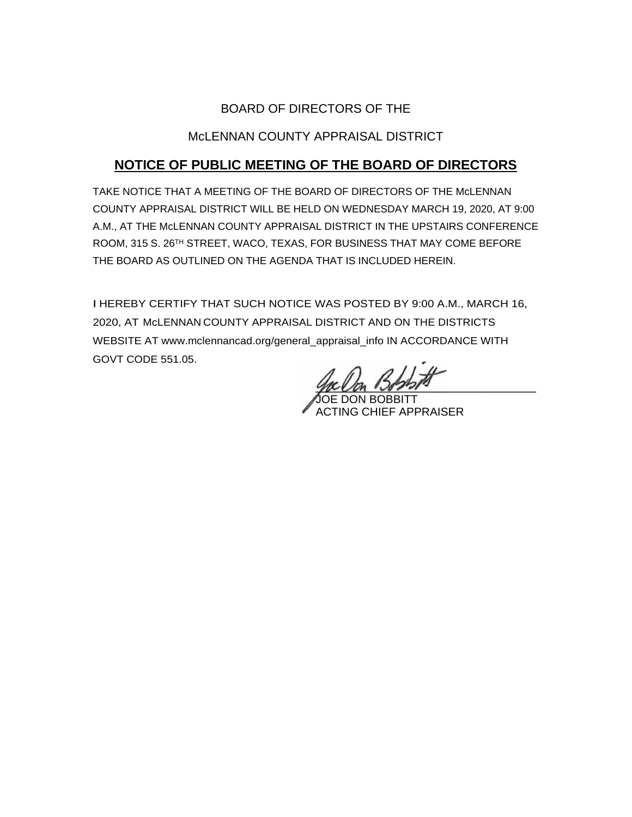## BOARD OF DIRECTORS OF THE

## McLENNAN COUNTY APPRAISAL DISTRICT

# **NOTICE OF PUBLIC MEETING OF THE BOARD OF DIRECTORS**

TAKE NOTICE THAT A MEETING OF THE BOARD OF DIRECTORS OF THE McLENNAN COUNTY APPRAISAL DISTRICT WILL BE HELD ON WEDNESDAY MARCH 19, 2020, AT 9:00 A.M., AT THE McLENNAN COUNTY APPRAISAL DISTRICT IN THE UPSTAIRS CONFERENCE ROOM, 315 S. 26TH STREET, WACO, TEXAS, FOR BUSINESS THAT MAY COME BEFORE THE BOARD AS OUTLINED ON THE AGENDA THAT IS INCLUDED HEREIN.

I HEREBY CERTIFY THAT SUCH NOTICE WAS POSTED BY 9:00 A.M., MARCH 16, 2020, AT McLENNAN COUNTY APPRAISAL DISTRICT AND ON THE DISTRICTS WEBSITE AT www.mclennancad.org/general\_appraisal\_info IN ACCORDANCE WITH GOVT CODE 551.05.

you and some that the same of the same of the same of the same of the same of the same of the same of the same o

**OE DON BOBBITT** ACTING CHIEF APPRAISER